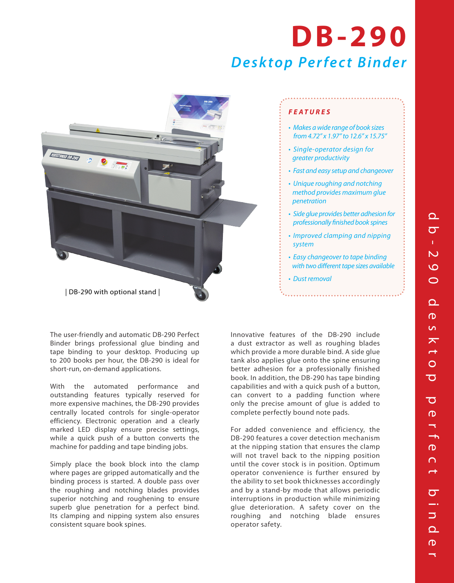# *Desktop Perfect Binder* **DB -290**



### *FEATURES*

- *Makes a wide range of book sizes from 4.72" x 1.97" to 12.6" x 15.75"*
- *Single-operator design for greater productivity*
- *Fast and easy setup and changeover*
- *Unique roughing and notching method provides maximum glue penetration*
- *Side glue provides better adhesion for professionally finished book spines*
- *Improved clamping and nipping system*
- *Easy changeover to tape binding with two different tape sizes available*
- *Dust removal*

The user-friendly and automatic DB-290 Perfect Binder brings professional glue binding and tape binding to your desktop. Producing up to 200 books per hour, the DB-290 is ideal for short-run, on-demand applications.

With the automated performance and outstanding features typically reserved for more expensive machines, the DB-290 provides centrally located controls for single-operator efficiency. Electronic operation and a clearly marked LED display ensure precise settings, while a quick push of a button converts the machine for padding and tape binding jobs.

Simply place the book block into the clamp where pages are gripped automatically and the binding process is started. A double pass over the roughing and notching blades provides superior notching and roughening to ensure superb glue penetration for a perfect bind. Its clamping and nipping system also ensures consistent square book spines.

Innovative features of the DB-290 include a dust extractor as well as roughing blades which provide a more durable bind. A side glue tank also applies glue onto the spine ensuring better adhesion for a professionally finished book. In addition, the DB-290 has tape binding capabilities and with a quick push of a button, can convert to a padding function where only the precise amount of glue is added to complete perfectly bound note pads.

For added convenience and efficiency, the DB-290 features a cover detection mechanism at the nipping station that ensures the clamp will not travel back to the nipping position until the cover stock is in position. Optimum operator convenience is further ensured by the ability to set book thicknesses accordingly and by a stand-by mode that allows periodic interruptions in production while minimizing glue deterioration. A safety cover on the roughing and notching blade ensures operator safety.